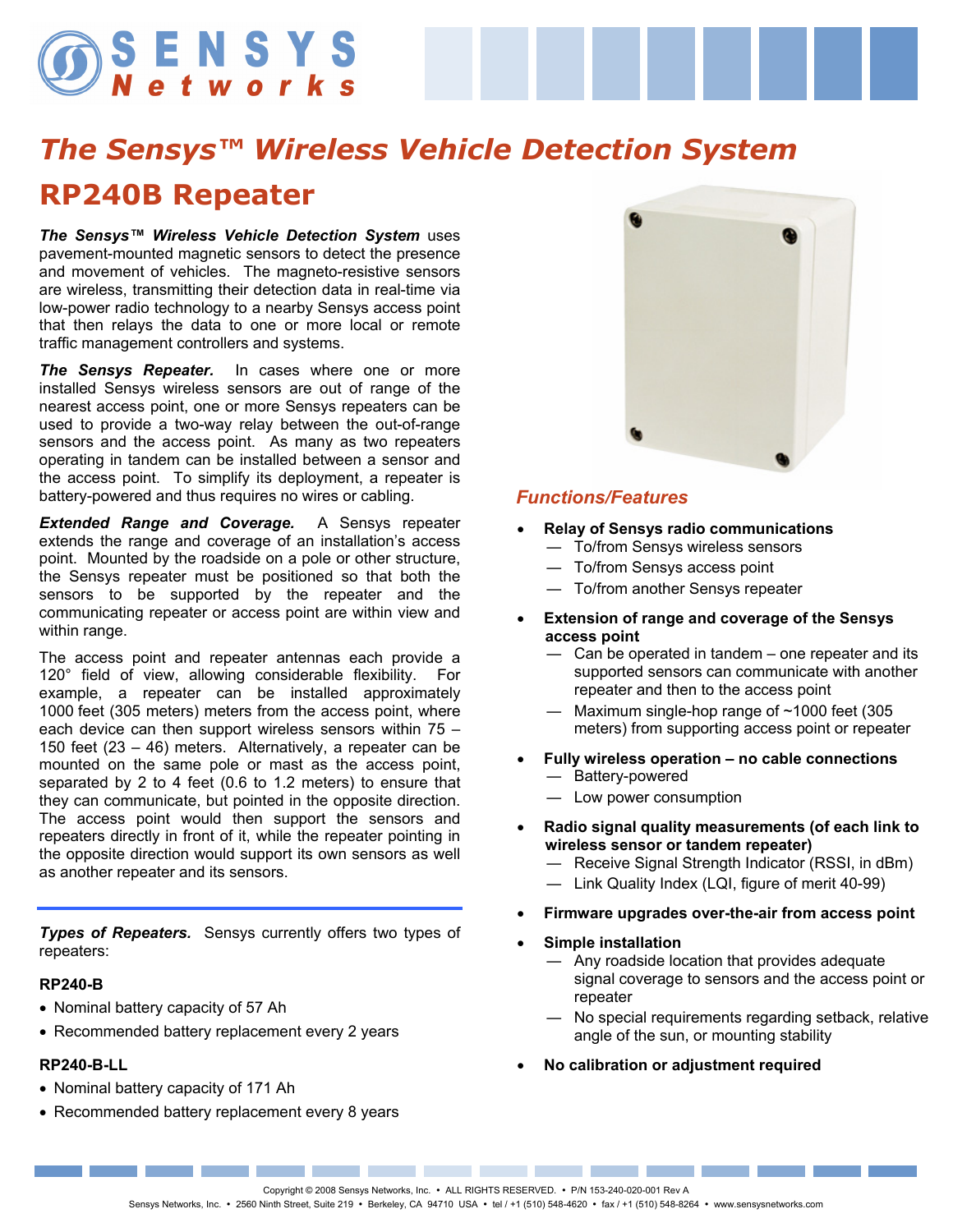# SENSYS

# *The Sensys™ Wireless Vehicle Detection System*  **RP240B Repeater**

*The Sensys™ Wireless Vehicle Detection System* uses pavement-mounted magnetic sensors to detect the presence and movement of vehicles. The magneto-resistive sensors are wireless, transmitting their detection data in real-time via low-power radio technology to a nearby Sensys access point that then relays the data to one or more local or remote traffic management controllers and systems.

*The Sensys Repeater.* In cases where one or more installed Sensys wireless sensors are out of range of the nearest access point, one or more Sensys repeaters can be used to provide a two-way relay between the out-of-range sensors and the access point. As many as two repeaters operating in tandem can be installed between a sensor and the access point. To simplify its deployment, a repeater is battery-powered and thus requires no wires or cabling.

*Extended Range and Coverage.* A Sensys repeater extends the range and coverage of an installation's access point. Mounted by the roadside on a pole or other structure, the Sensys repeater must be positioned so that both the sensors to be supported by the repeater and the communicating repeater or access point are within view and within range.

The access point and repeater antennas each provide a 120° field of view, allowing considerable flexibility. For example, a repeater can be installed approximately 1000 feet (305 meters) meters from the access point, where each device can then support wireless sensors within 75 – 150 feet (23 – 46) meters. Alternatively, a repeater can be mounted on the same pole or mast as the access point, separated by 2 to 4 feet (0.6 to 1.2 meters) to ensure that they can communicate, but pointed in the opposite direction. The access point would then support the sensors and repeaters directly in front of it, while the repeater pointing in the opposite direction would support its own sensors as well as another repeater and its sensors.

*Types of Repeaters.* Sensys currently offers two types of repeaters:

#### **RP240-B**

- Nominal battery capacity of 57 Ah
- Recommended battery replacement every 2 years

#### **RP240-B-LL**

- Nominal battery capacity of 171 Ah
- Recommended battery replacement every 8 years



#### *Functions/Features*

- **Relay of Sensys radio communications** 
	- ― To/from Sensys wireless sensors
	- ― To/from Sensys access point
	- ― To/from another Sensys repeater
- **Extension of range and coverage of the Sensys access point** 
	- ― Can be operated in tandem one repeater and its supported sensors can communicate with another repeater and then to the access point
	- ― Maximum single-hop range of ~1000 feet (305 meters) from supporting access point or repeater
- **Fully wireless operation no cable connections** 
	- ― Battery-powered
	- ― Low power consumption
- **Radio signal quality measurements (of each link to wireless sensor or tandem repeater)** 
	- ― Receive Signal Strength Indicator (RSSI, in dBm)
	- ― Link Quality Index (LQI, figure of merit 40-99)
- **Firmware upgrades over-the-air from access point**
- **Simple installation** 
	- ― Any roadside location that provides adequate signal coverage to sensors and the access point or repeater
	- ― No special requirements regarding setback, relative angle of the sun, or mounting stability
- **No calibration or adjustment required**

the control of the control of the control of the control of the control of the control of Copyright © 2008 Sensys Networks, Inc. . ALL RIGHTS RESERVED. . P/N 153-240-020-001 Rev A

Sensys Networks, Inc. • 2560 Ninth Street, Suite 219 • Berkeley, CA 94710 USA • tel / +1 (510) 548-4620 • fax / +1 (510) 548-8264 • www.sensysnetworks.com